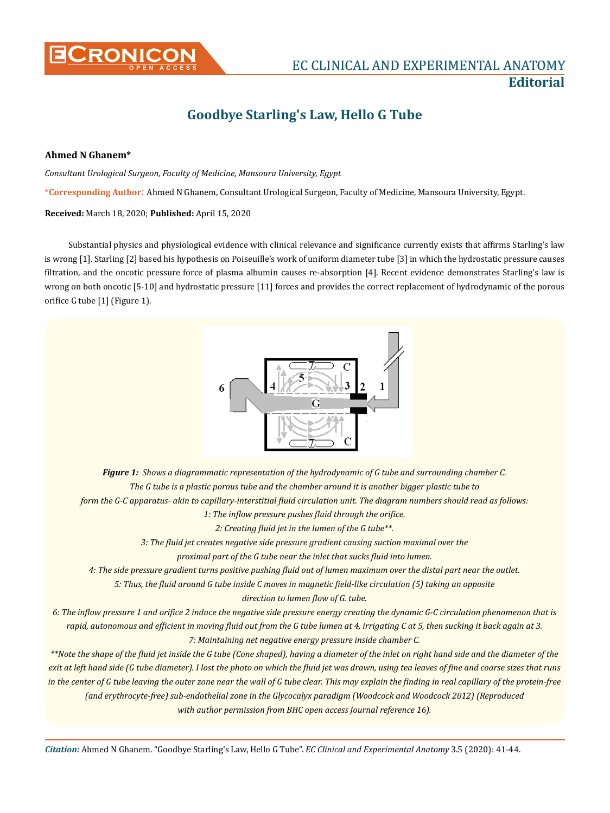

## **EC CLINICAL AND EXPERIMENTAL ANATOMY Editorial**

# **Goodbye Starling's Law, Hello G Tube**

### **Ahmed N Ghanem\***

*Consultant Urological Surgeon, Faculty of Medicine, Mansoura University, Egypt* 

**\*Corresponding Author**: Ahmed N Ghanem, Consultant Urological Surgeon, Faculty of Medicine, Mansoura University, Egypt.

#### **Received:** March 18, 2020; **Published:** April 15, 2020

Substantial physics and physiological evidence with clinical relevance and significance currently exists that affirms Starling's law is wrong [1]. Starling [2] based his hypothesis on Poiseuille's work of uniform diameter tube [3] in which the hydrostatic pressure causes filtration, and the oncotic pressure force of plasma albumin causes re-absorption [4]. Recent evidence demonstrates Starling's law is wrong on both oncotic [5-10] and hydrostatic pressure [11] forces and provides the correct replacement of hydrodynamic of the porous orifice G tube [1] (Figure 1).



*Figure 1: Shows a diagrammatic representation of the hydrodynamic of G tube and surrounding chamber C. The G tube is a plastic porous tube and the chamber around it is another bigger plastic tube to* 

*form the G-C apparatus- akin to capillary-interstitial fluid circulation unit. The diagram numbers should read as follows:* 

*1: The inflow pressure pushes fluid through the orifice.*

*2: Creating fluid jet in the lumen of the G tube\*\*.* 

*3: The fluid jet creates negative side pressure gradient causing suction maximal over the* 

*proximal part of the G tube near the inlet that sucks fluid into lumen.* 

*4: The side pressure gradient turns positive pushing fluid out of lumen maximum over the distal part near the outlet.* 

*5: Thus, the fluid around G tube inside C moves in magnetic field-like circulation (5) taking an opposite* 

*direction to lumen flow of G. tube.* 

*6: The inflow pressure 1 and orifice 2 induce the negative side pressure energy creating the dynamic G-C circulation phenomenon that is rapid, autonomous and efficient in moving fluid out from the G tube lumen at 4, irrigating C at 5, then sucking it back again at 3. 7: Maintaining net negative energy pressure inside chamber C.* 

*\*\*Note the shape of the fluid jet inside the G tube (Cone shaped), having a diameter of the inlet on right hand side and the diameter of the exit at left hand side (G tube diameter). I lost the photo on which the fluid jet was drawn, using tea leaves of fine and coarse sizes that runs in the center of G tube leaving the outer zone near the wall of G tube clear. This may explain the finding in real capillary of the protein-free (and erythrocyte-free) sub-endothelial zone in the Glycocalyx paradigm (Woodcock and Woodcock 2012) (Reproduced with author permission from BHC open access Journal reference 16).*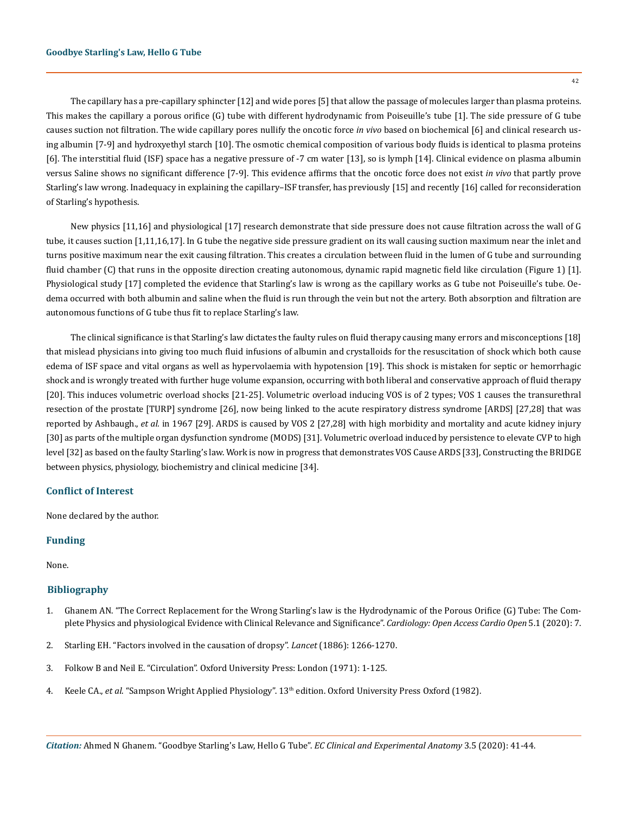The capillary has a pre-capillary sphincter [12] and wide pores [5] that allow the passage of molecules larger than plasma proteins. This makes the capillary a porous orifice (G) tube with different hydrodynamic from Poiseuille's tube [1]. The side pressure of G tube causes suction not filtration. The wide capillary pores nullify the oncotic force *in vivo* based on biochemical [6] and clinical research using albumin [7-9] and hydroxyethyl starch [10]. The osmotic chemical composition of various body fluids is identical to plasma proteins [6]. The interstitial fluid (ISF) space has a negative pressure of -7 cm water [13], so is lymph [14]. Clinical evidence on plasma albumin versus Saline shows no significant difference [7-9]. This evidence affirms that the oncotic force does not exist *in vivo* that partly prove Starling's law wrong. Inadequacy in explaining the capillary–ISF transfer, has previously [15] and recently [16] called for reconsideration of Starling's hypothesis.

New physics [11,16] and physiological [17] research demonstrate that side pressure does not cause filtration across the wall of G tube, it causes suction [1,11,16,17]. In G tube the negative side pressure gradient on its wall causing suction maximum near the inlet and turns positive maximum near the exit causing filtration. This creates a circulation between fluid in the lumen of G tube and surrounding fluid chamber (C) that runs in the opposite direction creating autonomous, dynamic rapid magnetic field like circulation (Figure 1) [1]. Physiological study [17] completed the evidence that Starling's law is wrong as the capillary works as G tube not Poiseuille's tube. Oedema occurred with both albumin and saline when the fluid is run through the vein but not the artery. Both absorption and filtration are autonomous functions of G tube thus fit to replace Starling's law.

The clinical significance is that Starling's law dictates the faulty rules on fluid therapy causing many errors and misconceptions [18] that mislead physicians into giving too much fluid infusions of albumin and crystalloids for the resuscitation of shock which both cause edema of ISF space and vital organs as well as hypervolaemia with hypotension [19]. This shock is mistaken for septic or hemorrhagic shock and is wrongly treated with further huge volume expansion, occurring with both liberal and conservative approach of fluid therapy [20]. This induces volumetric overload shocks [21-25]. Volumetric overload inducing VOS is of 2 types; VOS 1 causes the transurethral resection of the prostate [TURP] syndrome [26], now being linked to the acute respiratory distress syndrome [ARDS] [27,28] that was reported by Ashbaugh., *et al.* in 1967 [29]. ARDS is caused by VOS 2 [27,28] with high morbidity and mortality and acute kidney injury [30] as parts of the multiple organ dysfunction syndrome (MODS) [31]. Volumetric overload induced by persistence to elevate CVP to high level [32] as based on the faulty Starling's law. Work is now in progress that demonstrates VOS Cause ARDS [33], Constructing the BRIDGE between physics, physiology, biochemistry and clinical medicine [34].

### **Conflict of Interest**

None declared by the author.

#### **Funding**

None.

#### **Bibliography**

- 1. [Ghanem AN. "The Correct Replacement for the Wrong Starling's law is the Hydrodynamic of the Porous Orifice \(G\) Tube: The Com](https://www.researchgate.net/publication/339696685_Cardiology_Open_Access_The_Correct_Replacement_for_the_Wrong_Starling)[plete Physics and physiological Evidence with Clinical Relevance and Significance".](https://www.researchgate.net/publication/339696685_Cardiology_Open_Access_The_Correct_Replacement_for_the_Wrong_Starling) *Cardiology: Open Access Cardio Open* 5.1 (2020): 7.
- 2. Starling EH. "Factors involved in the causation of dropsy". *Lancet* (1886): 1266-1270.
- 3. Folkow B and Neil E. "Circulation". Oxford University Press: London (1971): 1-125.
- 4. Keele CA., *et al*. "Sampson Wright Applied Physiology". 13th edition. Oxford University Press Oxford (1982).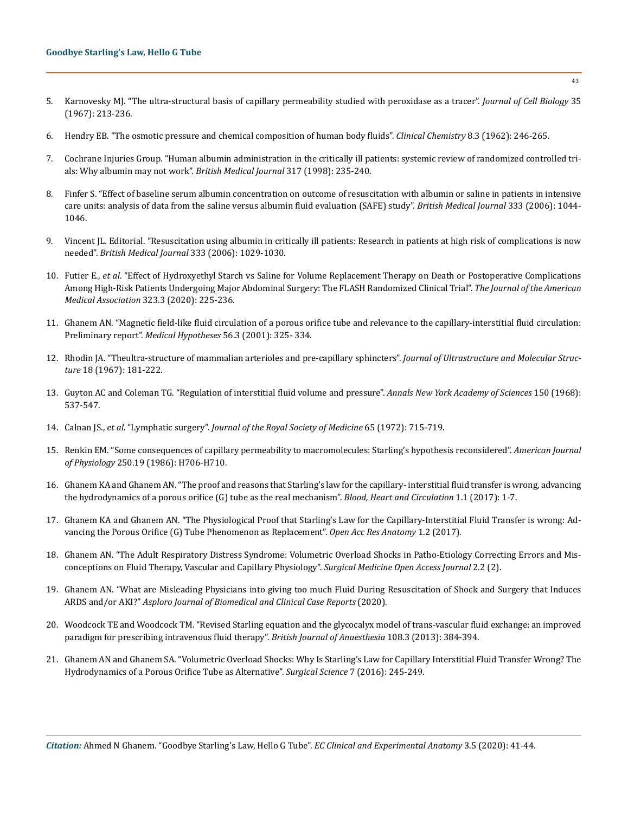- 5. [Karnovesky MJ. "The ultra-structural basis of capillary permeability studied with peroxidase as a tracer".](https://www.ncbi.nlm.nih.gov/pubmed/6061717) *Journal of Cell Biology* 35 [\(1967\): 213-236.](https://www.ncbi.nlm.nih.gov/pubmed/6061717)
- 6. [Hendry EB. "The osmotic pressure and chemical composition of human body fluids".](https://academic.oup.com/clinchem/article-abstract/8/3/246/5672406?redirectedFrom=fulltext) *Clinical Chemistry* 8.3 (1962): 246-265.
- 7. [Cochrane Injuries Group. "Human albumin administration in the critically ill patients: systemic review of randomized controlled tri](https://www.ncbi.nlm.nih.gov/pmc/articles/PMC28613/)[als: Why albumin may not work".](https://www.ncbi.nlm.nih.gov/pmc/articles/PMC28613/) *British Medical Journal* 317 (1998): 235-240.
- 8. [Finfer S. "Effect of baseline serum albumin concentration on outcome of resuscitation with albumin or saline in patients in intensive](https://www.ncbi.nlm.nih.gov/pubmed/17040925)  [care units: analysis of data from the saline versus albumin fluid evaluation \(SAFE\) study".](https://www.ncbi.nlm.nih.gov/pubmed/17040925) *British Medical Journal* 333 (2006): 1044- [1046.](https://www.ncbi.nlm.nih.gov/pubmed/17040925)
- 9. [Vincent JL. Editorial. "Resuscitation using albumin in critically ill patients: Research in patients at high risk of complications is now](https://www.ncbi.nlm.nih.gov/pubmed/17110700)  needed". *[British Medical Journal](https://www.ncbi.nlm.nih.gov/pubmed/17110700)* 333 (2006): 1029-1030.
- 10. Futier E., *et al*[. "Effect of Hydroxyethyl Starch vs Saline for Volume Replacement Therapy on Death or Postoperative Complications](https://jamanetwork.com/journals/jama/article-abstract/2759003) [Among High-Risk Patients Undergoing Major Abdominal Surgery: The FLASH Randomized Clinical Trial".](https://jamanetwork.com/journals/jama/article-abstract/2759003) *The Journal of the American Medical Association* [323.3 \(2020\): 225-236.](https://jamanetwork.com/journals/jama/article-abstract/2759003)
- 11. [Ghanem AN. "Magnetic field-like fluid circulation of a porous orifice tube and relevance to the capillary-interstitial fluid circulation:](https://www.researchgate.net/publication/11979424_Magnetic_field-like_fluid_circulation_of_a_porous_orifice_tube_and_its_relevance_to_the_capillary-interstitial_fluid_circulation_Preliminary_report)  Preliminary report". *[Medical Hypotheses](https://www.researchgate.net/publication/11979424_Magnetic_field-like_fluid_circulation_of_a_porous_orifice_tube_and_its_relevance_to_the_capillary-interstitial_fluid_circulation_Preliminary_report)* 56.3 (2001): 325- 334.
- 12. [Rhodin JA. "Theultra-structure of mammalian arterioles and pre-capillary sphincters".](https://www.sciencedirect.com/science/article/abs/pii/S0022532067802399) *Journal of Ultrastructure and Molecular Structure* [18 \(1967\): 181-222.](https://www.sciencedirect.com/science/article/abs/pii/S0022532067802399)
- 13. [Guyton AC and Coleman TG. "Regulation of interstitial fluid volume and pressure".](https://link.springer.com/chapter/10.1007/978-1-4684-3228-2_11) *Annals New York Academy of Sciences* 150 (1968): [537-547.](https://link.springer.com/chapter/10.1007/978-1-4684-3228-2_11)
- 14. Calnan JS., *et al*. "Lymphatic surgery". *Journal of the Royal Society of Medicine* 65 (1972): 715-719.
- 15. [Renkin EM. "Some consequences of capillary permeability to macromolecules: Starling's hypothesis reconsidered".](https://journals.physiology.org/doi/abs/10.1152/ajpheart.1986.250.5.H706) *American Journal of Physiology* [250.19 \(1986\): H706-H710.](https://journals.physiology.org/doi/abs/10.1152/ajpheart.1986.250.5.H706)
- 16. [Ghanem KA and Ghanem AN. "The proof and reasons that Starling's law for the capillary- interstitial fluid transfer is wrong, advancing](https://www.oatext.com/The-proof-and-reasons-that-Starlings-law-for-the-capillary-interstitial-fluid-transfer-is-wrong-advancing-the-hydrodynamics.php)  [the hydrodynamics of a porous orifice \(G\) tube as the real mechanism".](https://www.oatext.com/The-proof-and-reasons-that-Starlings-law-for-the-capillary-interstitial-fluid-transfer-is-wrong-advancing-the-hydrodynamics.php) *Blood, Heart and Circulation* 1.1 (2017): 1-7.
- 17. [Ghanem KA and Ghanem AN. "The Physiological Proof that Starling's Law for the Capillary-Interstitial Fluid Transfer is wrong: Ad](https://www.researchgate.net/publication/323989916_The_Physiological_Proof_that_Starling%27s_Law_for_the_Capillary-Interstitial_Fluid_Transfer_is_Wrong_Advancing_the_Porous_Orifice_G_Tube_Phenomenon_as_Replacement)[vancing the Porous Orifice \(G\) Tube Phenomenon as Replacement".](https://www.researchgate.net/publication/323989916_The_Physiological_Proof_that_Starling%27s_Law_for_the_Capillary-Interstitial_Fluid_Transfer_is_Wrong_Advancing_the_Porous_Orifice_G_Tube_Phenomenon_as_Replacement) *Open Acc Res Anatomy* 1.2 (2017).
- 18. [Ghanem AN. "The Adult Respiratory Distress Syndrome: Volumetric Overload Shocks in Patho-Etiology Correcting Errors and Mis](https://www.researchgate.net/publication/336727224_The_adult_respiratory_distress_syndrome_Volumetric_overload_shocks_in_patho-etiology_correcting_errors_and_misconceptions_on_fluid_therapy_vascular_and_capillary_physiology)[conceptions on Fluid Therapy, Vascular and Capillary Physiology".](https://www.researchgate.net/publication/336727224_The_adult_respiratory_distress_syndrome_Volumetric_overload_shocks_in_patho-etiology_correcting_errors_and_misconceptions_on_fluid_therapy_vascular_and_capillary_physiology) *Surgical Medicine Open Access Journal* 2.2 (2).
- 19. Ghanem AN. "What are Misleading Physicians into giving too much Fluid During Resuscitation of Shock and Surgery that Induces ARDS and/or AKI?" *Asploro Journal of Biomedical and Clinical Case Reports* (2020).
- 20. [Woodcock TE and Woodcock TM. "Revised Starling equation and the glycocalyx model of trans-vascular fluid exchange: an improved](https://academic.oup.com/bja/article/108/3/384/419160) [paradigm for prescribing intravenous fluid therapy".](https://academic.oup.com/bja/article/108/3/384/419160) *British Journal of Anaesthesia* 108.3 (2013): 384-394.
- 21. [Ghanem AN and Ghanem SA. "Volumetric Overload Shocks: Why Is Starling's Law for Capillary Interstitial Fluid Transfer Wrong? The](https://www.researchgate.net/publication/303798108_Volumetric_Overload_Shocks_Why_Is_Starling%27s_Law_for_Capillary_Interstitial_Fluid_Transfer_Wrong_The_Hydrodynamics_of_a_Porous_Orifice_Tube_as_Alternative) [Hydrodynamics of a Porous Orifice Tube as Alternative".](https://www.researchgate.net/publication/303798108_Volumetric_Overload_Shocks_Why_Is_Starling%27s_Law_for_Capillary_Interstitial_Fluid_Transfer_Wrong_The_Hydrodynamics_of_a_Porous_Orifice_Tube_as_Alternative) *Surgical Science* 7 (2016): 245-249.